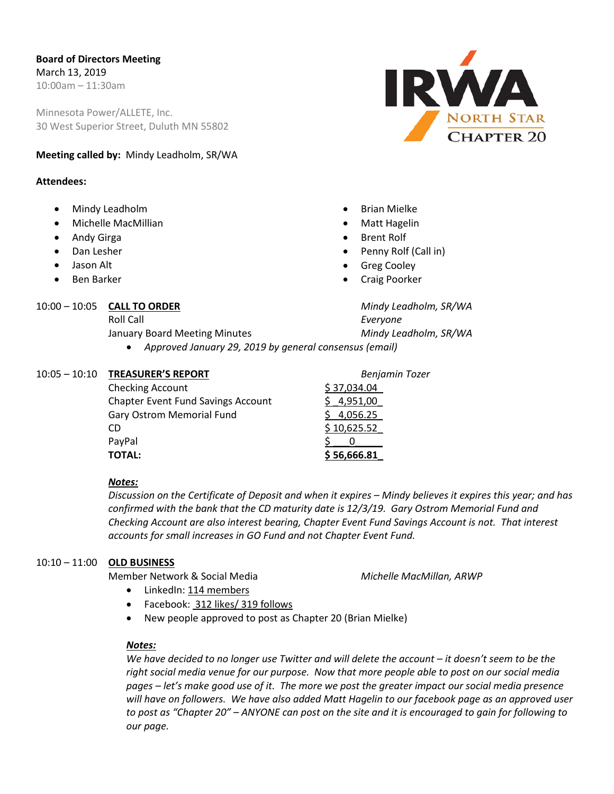Minnesota Power/ALLETE, Inc. 30 West Superior Street, Duluth MN 55802

#### **Meeting called by:** Mindy Leadholm, SR/WA

#### **Attendees:**

- Mindy Leadholm
- Michelle MacMillian
- Andy Girga
- Dan Lesher
- Jason Alt
- Ben Barker

#### 10:00 – 10:05 **CALL TO ORDER** *Mindy Leadholm, SR/WA*

January Board Meeting Minutes *Mindy Leadholm, SR/WA*

# **IRWA** NORTH STAR HAPTER<sub>20</sub>

- Brian Mielke
- Matt Hagelin
- **Brent Rolf**
- Penny Rolf (Call in)
- Greg Cooley
- Craig Poorker

Roll Call *Everyone*

• *Approved January 29, 2019 by general consensus (email)*

#### 10:05 – 10:10 **TREASURER'S REPORT** *Benjamin Tozer*

| TOTAL:                                    | \$56,666.81 |
|-------------------------------------------|-------------|
| PayPal                                    |             |
| CD                                        | \$10,625.52 |
| Gary Ostrom Memorial Fund                 | \$4,056.25  |
| <b>Chapter Event Fund Savings Account</b> | 4,951,00    |
| <b>Checking Account</b>                   | \$37,034.04 |
|                                           |             |

#### *Notes:*

*Discussion on the Certificate of Deposit and when it expires – Mindy believes it expires this year; and has confirmed with the bank that the CD maturity date is 12/3/19. Gary Ostrom Memorial Fund and Checking Account are also interest bearing, Chapter Event Fund Savings Account is not. That interest accounts for small increases in GO Fund and not Chapter Event Fund.*

### 10:10 – 11:00 **OLD BUSINESS**

Member Network & Social Media *Michelle MacMillan, ARWP*

- LinkedIn: 114 members
- Facebook: 312 likes/ 319 follows
- New people approved to post as Chapter 20 (Brian Mielke)

#### *Notes:*

*We have decided to no longer use Twitter and will delete the account – it doesn't seem to be the right social media venue for our purpose. Now that more people able to post on our social media pages – let's make good use of it. The more we post the greater impact our social media presence will have on followers. We have also added Matt Hagelin to our facebook page as an approved user to post as "Chapter 20" – ANYONE can post on the site and it is encouraged to gain for following to our page.*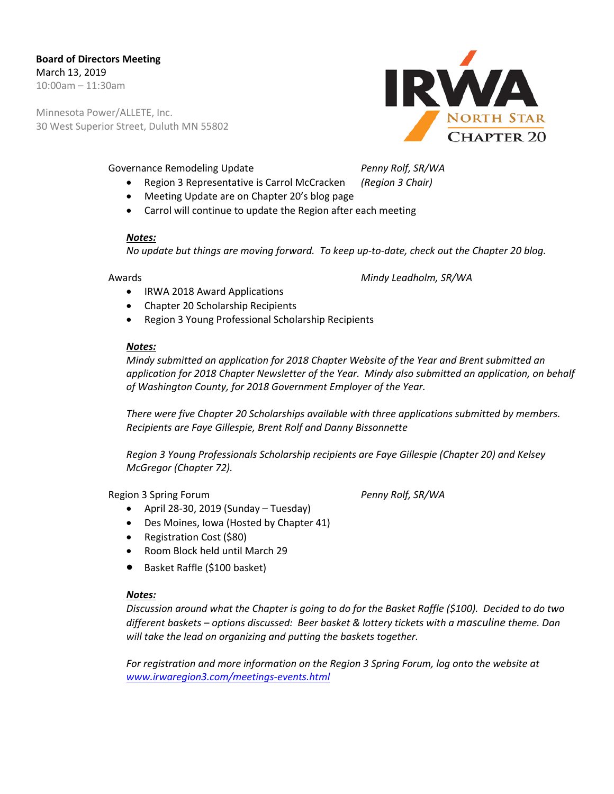# **Board of Directors Meeting** March 13, 2019

10:00am – 11:30am

Minnesota Power/ALLETE, Inc. 30 West Superior Street, Duluth MN 55802

#### Governance Remodeling Update *Penny Rolf, SR/WA*

- Region 3 Representative is Carrol McCracken *(Region 3 Chair)*
- Meeting Update are on Chapter 20's blog page
- Carrol will continue to update the Region after each meeting

#### *Notes:*

*No update but things are moving forward. To keep up-to-date, check out the Chapter 20 blog.*

Awards *Mindy Leadholm, SR/WA*

- IRWA 2018 Award Applications
- Chapter 20 Scholarship Recipients
- Region 3 Young Professional Scholarship Recipients

#### *Notes:*

*Mindy submitted an application for 2018 Chapter Website of the Year and Brent submitted an application for 2018 Chapter Newsletter of the Year. Mindy also submitted an application, on behalf of Washington County, for 2018 Government Employer of the Year.* 

*There were five Chapter 20 Scholarships available with three applications submitted by members. Recipients are Faye Gillespie, Brent Rolf and Danny Bissonnette*

*Region 3 Young Professionals Scholarship recipients are Faye Gillespie (Chapter 20) and Kelsey McGregor (Chapter 72).*

Region 3 Spring Forum *Penny Rolf, SR/WA*

- April 28-30, 2019 (Sunday Tuesday)
- Des Moines, Iowa (Hosted by Chapter 41)
- Registration Cost (\$80)
- Room Block held until March 29
- Basket Raffle (\$100 basket)

#### *Notes:*

*Discussion around what the Chapter is going to do for the Basket Raffle (\$100). Decided to do two different baskets – options discussed: Beer basket & lottery tickets with a masculine theme. Dan will take the lead on organizing and putting the baskets together.*

*For registration and more information on the Region 3 Spring Forum, log onto the website at [www.irwaregion3.com/meetings-events.html](http://www.irwaregion3.com/meetings-events.html)*

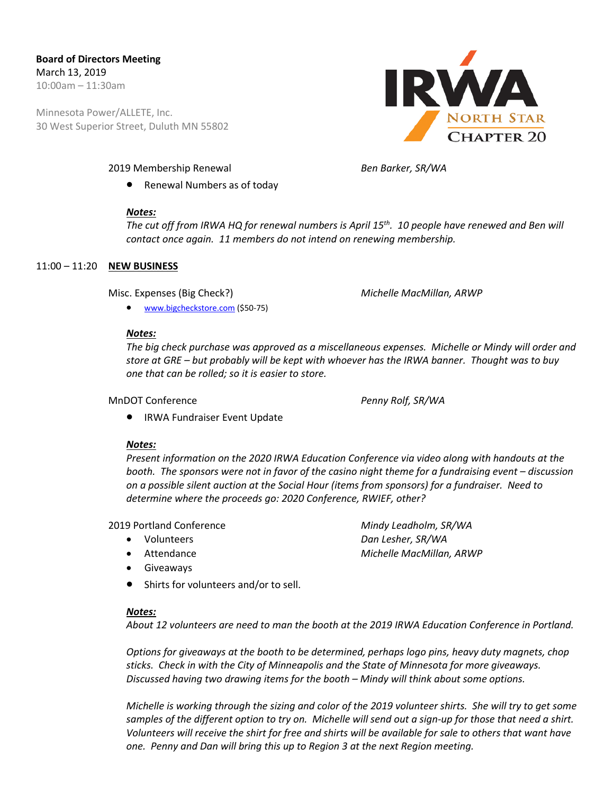Minnesota Power/ALLETE, Inc. 30 West Superior Street, Duluth MN 55802



• Renewal Numbers as of today

#### *Notes:*

*The cut off from IRWA HQ for renewal numbers is April 15th. 10 people have renewed and Ben will contact once again. 11 members do not intend on renewing membership.* 

#### 11:00 – 11:20 **NEW BUSINESS**

Misc. Expenses (Big Check?) *Michelle MacMillan, ARWP*

• [www.bigcheckstore.com](http://www.bigcheckstore.com/) (\$50-75)

#### *Notes:*

*The big check purchase was approved as a miscellaneous expenses. Michelle or Mindy will order and store at GRE – but probably will be kept with whoever has the IRWA banner. Thought was to buy one that can be rolled; so it is easier to store.* 

MnDOT Conference *Penny Rolf, SR/WA*

• IRWA Fundraiser Event Update

#### *Notes:*

*Present information on the 2020 IRWA Education Conference via video along with handouts at the booth. The sponsors were not in favor of the casino night theme for a fundraising event – discussion on a possible silent auction at the Social Hour (items from sponsors) for a fundraiser. Need to determine where the proceeds go: 2020 Conference, RWIEF, other?*

#### 2019 Portland Conference *Mindy Leadholm, SR/WA*

- Volunteers *Dan Lesher, SR/WA*
- Attendance *Michelle MacMillan, ARWP*
- Giveaways
- Shirts for volunteers and/or to sell.

#### *Notes:*

*About 12 volunteers are need to man the booth at the 2019 IRWA Education Conference in Portland.* 

*Options for giveaways at the booth to be determined, perhaps logo pins, heavy duty magnets, chop sticks. Check in with the City of Minneapolis and the State of Minnesota for more giveaways. Discussed having two drawing items for the booth – Mindy will think about some options.*

*Michelle is working through the sizing and color of the 2019 volunteer shirts. She will try to get some samples of the different option to try on. Michelle will send out a sign-up for those that need a shirt. Volunteers will receive the shirt for free and shirts will be available for sale to others that want have one. Penny and Dan will bring this up to Region 3 at the next Region meeting.*

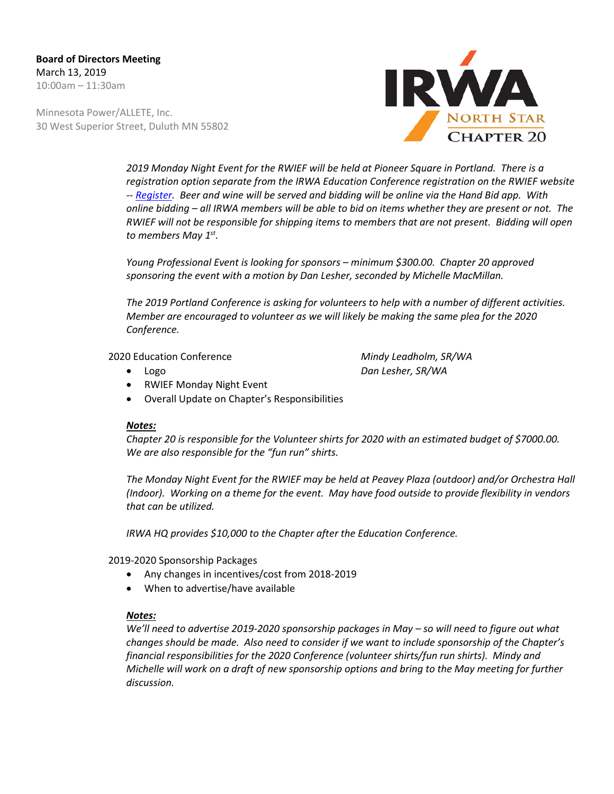Minnesota Power/ALLETE, Inc. 30 West Superior Street, Duluth MN 55802



*2019 Monday Night Event for the RWIEF will be held at Pioneer Square in Portland. There is a registration option separate from the IRWA Education Conference registration on the RWIEF website -- [Register.](https://events.r20.constantcontact.com/register/eventReg?oeidk=a07eg5szjdda1cf72f2&oseq=&c=&ch) Beer and wine will be served and bidding will be online via the Hand Bid app. With online bidding – all IRWA members will be able to bid on items whether they are present or not. The RWIEF will not be responsible for shipping items to members that are not present. Bidding will open to members May 1st.*

*Young Professional Event is looking for sponsors – minimum \$300.00. Chapter 20 approved sponsoring the event with a motion by Dan Lesher, seconded by Michelle MacMillan.*

*The 2019 Portland Conference is asking for volunteers to help with a number of different activities. Member are encouraged to volunteer as we will likely be making the same plea for the 2020 Conference.*

2020 Education Conference *Mindy Leadholm, SR/WA*

• Logo *Dan Lesher, SR/WA*

- RWIEF Monday Night Event
- Overall Update on Chapter's Responsibilities

#### *Notes:*

*Chapter 20 is responsible for the Volunteer shirts for 2020 with an estimated budget of \$7000.00. We are also responsible for the "fun run" shirts.*

*The Monday Night Event for the RWIEF may be held at Peavey Plaza (outdoor) and/or Orchestra Hall (Indoor). Working on a theme for the event. May have food outside to provide flexibility in vendors that can be utilized.* 

*IRWA HQ provides \$10,000 to the Chapter after the Education Conference.*

2019-2020 Sponsorship Packages

- Any changes in incentives/cost from 2018-2019
- When to advertise/have available

#### *Notes:*

*We'll need to advertise 2019-2020 sponsorship packages in May – so will need to figure out what changes should be made. Also need to consider if we want to include sponsorship of the Chapter's financial responsibilities for the 2020 Conference (volunteer shirts/fun run shirts). Mindy and Michelle will work on a draft of new sponsorship options and bring to the May meeting for further discussion.*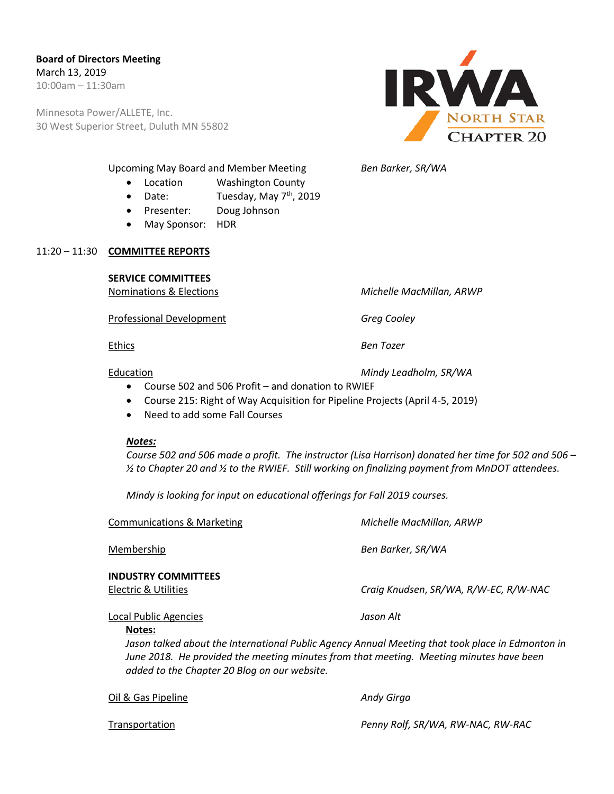Minnesota Power/ALLETE, Inc. 30 West Superior Street, Duluth MN 55802



- Upcoming May Board and Member Meeting *Ben Barker, SR/WA*
	- Location Washington County
	- Date: Tuesday, May  $7<sup>th</sup>$ , 2019
	- Presenter: Doug Johnson
	- May Sponsor: HDR

#### 11:20 – 11:30 **COMMITTEE REPORTS**

#### **SERVICE COMMITTEES**

Professional Development *Greg Cooley*

Nominations & Elections *Michelle MacMillan, ARWP*

Ethics *Ben Tozer*

Education *Mindy Leadholm, SR/WA*

- Course 502 and 506 Profit and donation to RWIEF
- Course 215: Right of Way Acquisition for Pipeline Projects (April 4-5, 2019)
- Need to add some Fall Courses

#### *Notes:*

*Course 502 and 506 made a profit. The instructor (Lisa Harrison) donated her time for 502 and 506 – ½ to Chapter 20 and ½ to the RWIEF. Still working on finalizing payment from MnDOT attendees.*

*Mindy is looking for input on educational offerings for Fall 2019 courses.*

Communications & Marketing *Michelle MacMillan, ARWP*

Membership *Ben Barker, SR/WA*

## **INDUSTRY COMMITTEES**

Electric & Utilities *Craig Knudsen*, *SR/WA, R/W-EC, R/W-NAC*

Local Public Agencies *Jason Alt* **Notes:**

 *Jason talked about the International Public Agency Annual Meeting that took place in Edmonton in June 2018. He provided the meeting minutes from that meeting. Meeting minutes have been added to the Chapter 20 Blog on our website.* 

Oil & Gas Pipeline *Andy Girga*

Transportation *Penny Rolf, SR/WA, RW-NAC, RW-RAC*